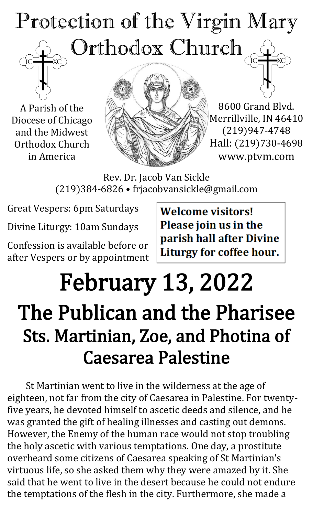# Protection of the Virgin Mary Orthodox Church

A Parish of the Diocese of Chicago and the Midwest Orthodox Church in America



8600 Grand Blvd. Merrillville, IN 46410 (219)947-4748 Hall: (219)730-4698 www.ptvm.com

Rev. Dr. Jacob Van Sickle (219)384-6826 • frjacobvansickle@gmail.com

Great Vespers: 6pm Saturdays

Divine Liturgy: 10am Sundays

Confession is available before or after Vespers or by appointment **Welcome visitors!** Please join us in the parish hall after Divine Liturgy for coffee hour.

## February 13, 2022 The Publican and the Pharisee Sts. Martinian, Zoe, and Photina of Caesarea Palestine

St Martinian went to live in the wilderness at the age of eighteen, not far from the city of Caesarea in Palestine. For twentyfive years, he devoted himself to ascetic deeds and silence, and he was granted the gift of healing illnesses and casting out demons. However, the Enemy of the human race would not stop troubling the holy ascetic with various temptations. One day, a prostitute overheard some citizens of Caesarea speaking of St Martinian's virtuous life, so she asked them why they were amazed by it. She said that he went to live in the desert because he could not endure the temptations of the flesh in the city. Furthermore, she made a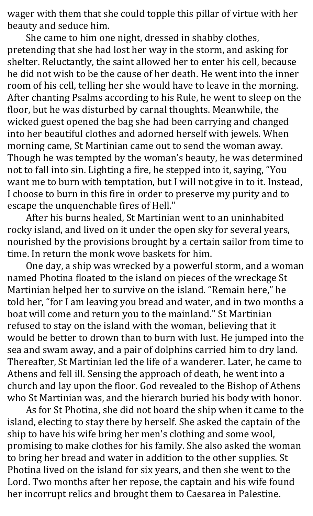wager with them that she could topple this pillar of virtue with her beauty and seduce him.

She came to him one night, dressed in shabby clothes, pretending that she had lost her way in the storm, and asking for shelter. Reluctantly, the saint allowed her to enter his cell, because he did not wish to be the cause of her death. He went into the inner room of his cell, telling her she would have to leave in the morning. After chanting Psalms according to his Rule, he went to sleep on the floor, but he was disturbed by carnal thoughts. Meanwhile, the wicked guest opened the bag she had been carrying and changed into her beautiful clothes and adorned herself with jewels. When morning came, St Martinian came out to send the woman away. Though he was tempted by the woman's beauty, he was determined not to fall into sin. Lighting a fire, he stepped into it, saying, "You want me to burn with temptation, but I will not give in to it. Instead, I choose to burn in this fire in order to preserve my purity and to escape the unquenchable fires of Hell."

After his burns healed, St Martinian went to an uninhabited rocky island, and lived on it under the open sky for several years, nourished by the provisions brought by a certain sailor from time to time. In return the monk wove baskets for him.

One day, a ship was wrecked by a powerful storm, and a woman named Photina floated to the island on pieces of the wreckage St Martinian helped her to survive on the island. "Remain here," he told her, "for I am leaving you bread and water, and in two months a boat will come and return you to the mainland." St Martinian refused to stay on the island with the woman, believing that it would be better to drown than to burn with lust. He jumped into the sea and swam away, and a pair of dolphins carried him to dry land. Thereafter, St Martinian led the life of a wanderer. Later, he came to Athens and fell ill. Sensing the approach of death, he went into a church and lay upon the floor. God revealed to the Bishop of Athens who St Martinian was, and the hierarch buried his body with honor.

As for St Photina, she did not board the ship when it came to the island, electing to stay there by herself. She asked the captain of the ship to have his wife bring her men's clothing and some wool, promising to make clothes for his family. She also asked the woman to bring her bread and water in addition to the other supplies. St Photina lived on the island for six years, and then she went to the Lord. Two months after her repose, the captain and his wife found her incorrupt relics and brought them to Caesarea in Palestine.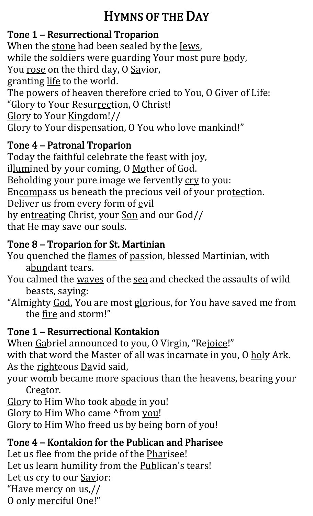## HYMNS OF THE DAY

## Tone 1 – Resurrectional Troparion

When the stone had been sealed by the Jews, while the soldiers were guarding Your most pure body, You rose on the third day, O Savior, granting life to the world. The powers of heaven therefore cried to You, O Giver of Life: "Glory to Your Resurrection, O Christ! Glory to Your Kingdom!// Glory to Your dispensation, O You who <u>love</u> mankind!"

### Tone 4 – Patronal Troparion

Today the faithful celebrate the feast with joy, illumined by your coming, O Mother of God. Beholding your pure image we fervently cry to you: Encompass us beneath the precious veil of your protection. Deliver us from every form of evil by entreating Christ, your Son and our God// that He may save our souls.

## Tone 8 – Troparion for St. Martinian

You quenched the *flames* of passion, blessed Martinian, with abundant tears.

- You calmed the waves of the sea and checked the assaults of wild beasts, saying:
- "Almighty God, You are most glorious, for You have saved me from the fire and storm!"

## Tone 1 – Resurrectional Kontakion

When Gabriel announced to you, O Virgin, "Rejoice!"

with that word the Master of all was incarnate in you, O holy Ark. As the righteous David said,

your womb became more spacious than the heavens, bearing your Creator.

Glory to Him Who took abode in you!

Glory to Him Who came ^from you!

Glory to Him Who freed us by being born of you!

## Tone 4 – Kontakion for the Publican and Pharisee

Let us flee from the pride of the Pharisee! Let us learn humility from the Publican's tears! Let us cry to our **Savior**: "Have mercy on us,// O only merciful One!"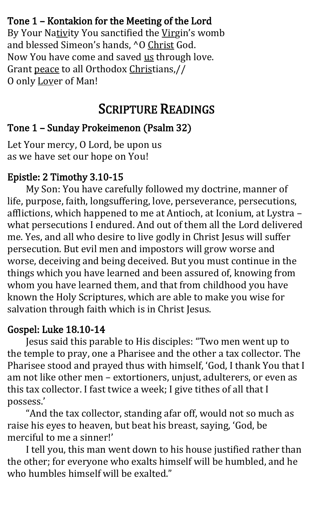### Tone 1 – Kontakion for the Meeting of the Lord

By Your Nativity You sanctified the Virgin's womb and blessed Simeon's hands, ^O Christ God. Now You have come and saved us through love. Grant peace to all Orthodox Christians,// O only Lover of Man!

## SCRIPTURE READINGS

## Tone 1 – Sunday Prokeimenon (Psalm 32)

Let Your mercy, O Lord, be upon us as we have set our hope on You!

#### Epistle: 2 Timothy 3.10-15

My Son: You have carefully followed my doctrine, manner of life, purpose, faith, longsuffering, love, perseverance, persecutions, afflictions, which happened to me at Antioch, at Iconium, at Lystra – what persecutions I endured. And out of them all the Lord delivered me. Yes, and all who desire to live godly in Christ Jesus will suffer persecution. But evil men and impostors will grow worse and worse, deceiving and being deceived. But you must continue in the things which you have learned and been assured of, knowing from whom you have learned them, and that from childhood you have known the Holy Scriptures, which are able to make you wise for salvation through faith which is in Christ Jesus.

#### Gospel: Luke 18.10-14

Jesus said this parable to His disciples: "Two men went up to the temple to pray, one a Pharisee and the other a tax collector. The Pharisee stood and prayed thus with himself, 'God, I thank You that I am not like other men – extortioners, unjust, adulterers, or even as this tax collector. I fast twice a week; I give tithes of all that I possess.'

"And the tax collector, standing afar off, would not so much as raise his eyes to heaven, but beat his breast, saying, 'God, be merciful to me a sinner!'

I tell you, this man went down to his house justified rather than the other; for everyone who exalts himself will be humbled, and he who humbles himself will be exalted."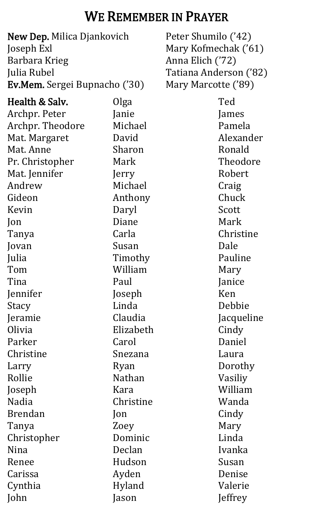## WE REMEMBER IN PRAYER

New Dep. Milica Djankovich Joseph Exl Barbara Krieg Julia Rubel Ev.Mem. Sergei Bupnacho ('30)

Health & Salv. Archpr. Peter Archpr. Theodore Mat. Margaret Mat. Anne Pr. Christopher Mat. Jennifer Andrew Gideon Kevin Jon Tanya Jovan Julia Tom Tina Jennifer Stacy Jeramie Olivia Parker Christine Larry Rollie Joseph Nadia Brendan Tanya Christopher Nina Renee Carissa Cynthia John Olga Janie Michael David Sharon Mark Jerry Michael Anthony Daryl Diane Carla Susan Timothy William Paul Joseph Linda Claudia Elizabeth Carol Snezana Ryan Nathan Kara Christine Jon Zoey Dominic Declan Hudson Ayden Hyland Jason

Peter Shumilo ('42) Mary Kofmechak ('61) Anna Elich ('72) Tatiana Anderson ('82) Mary Marcotte ('89)

> Ted James Pamela Alexander Ronald Theodore Robert Craig Chuck Scott Mark Christine Dale Pauline Mary Janice Ken Debbie Jacqueline Cindy Daniel Laura Dorothy Vasiliy William Wanda Cindy Mary Linda Ivanka Susan Denise Valerie **J**effrey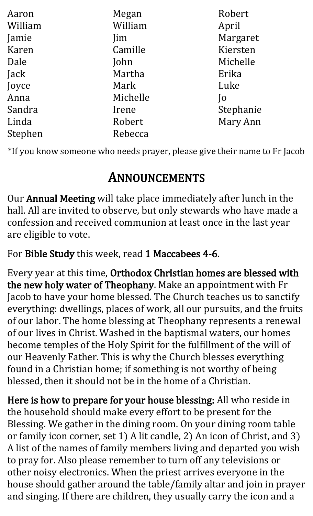| Aaron   | Megan    | Robert          |
|---------|----------|-----------------|
| William | William  | April           |
| Jamie   | Jim      | Margaret        |
| Karen   | Camille  | Kiersten        |
| Dale    | John     | Michelle        |
| Jack    | Martha   | Erika           |
| Joyce   | Mark     | Luke            |
| Anna    | Michelle | $\overline{10}$ |
| Sandra  | Irene    | Stephanie       |
| Linda   | Robert   | Mary Ann        |
| Stephen | Rebecca  |                 |

\*If you know someone who needs prayer, please give their name to Fr Jacob

## ANNOUNCEMENTS

Our Annual Meeting will take place immediately after lunch in the hall. All are invited to observe, but only stewards who have made a confession and received communion at least once in the last year are eligible to vote.

For Bible Study this week, read 1 Maccabees 4-6.

Every year at this time, Orthodox Christian homes are blessed with the new holy water of Theophany. Make an appointment with Fr Jacob to have your home blessed. The Church teaches us to sanctify everything: dwellings, places of work, all our pursuits, and the fruits of our labor. The home blessing at Theophany represents a renewal of our lives in Christ. Washed in the baptismal waters, our homes become temples of the Holy Spirit for the fulfillment of the will of our Heavenly Father. This is why the Church blesses everything found in a Christian home; if something is not worthy of being blessed, then it should not be in the home of a Christian.

Here is how to prepare for your house blessing: All who reside in the household should make every effort to be present for the Blessing. We gather in the dining room. On your dining room table or family icon corner, set 1) A lit candle, 2) An icon of Christ, and 3) A list of the names of family members living and departed you wish to pray for. Also please remember to turn off any televisions or other noisy electronics. When the priest arrives everyone in the house should gather around the table/family altar and join in prayer and singing. If there are children, they usually carry the icon and a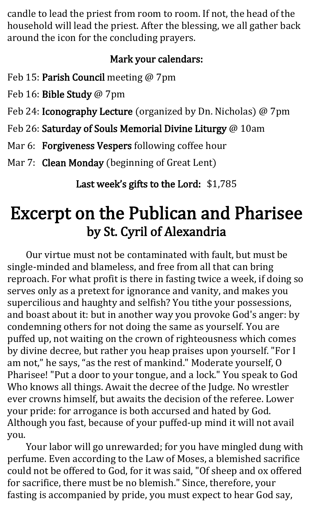candle to lead the priest from room to room. If not, the head of the household will lead the priest. After the blessing, we all gather back around the icon for the concluding prayers.

### Mark your calendars:

Feb 15: Parish Council meeting @ 7pm

Feb 16: Bible Study @ 7pm

Feb 24: Iconography Lecture (organized by Dn. Nicholas) @ 7pm

Feb 26: Saturday of Souls Memorial Divine Liturgy @ 10am

Mar 6: Forgiveness Vespers following coffee hour

Mar 7: Clean Monday (beginning of Great Lent)

Last week's gifts to the Lord: \$1,785

## Excerpt on the Publican and Pharisee by St. Cyril of Alexandria

Our virtue must not be contaminated with fault, but must be single-minded and blameless, and free from all that can bring reproach. For what profit is there in fasting twice a week, if doing so serves only as a pretext for ignorance and vanity, and makes you supercilious and haughty and selfish? You tithe your possessions, and boast about it: but in another way you provoke God's anger: by condemning others for not doing the same as yourself. You are puffed up, not waiting on the crown of righteousness which comes by divine decree, but rather you heap praises upon yourself. "For I am not," he says, "as the rest of mankind." Moderate yourself, O Pharisee! "Put a door to your tongue, and a lock." You speak to God Who knows all things. Await the decree of the Judge. No wrestler ever crowns himself, but awaits the decision of the referee. Lower your pride: for arrogance is both accursed and hated by God. Although you fast, because of your puffed-up mind it will not avail you.

Your labor will go unrewarded; for you have mingled dung with perfume. Even according to the Law of Moses, a blemished sacrifice could not be offered to God, for it was said, "Of sheep and ox offered for sacrifice, there must be no blemish." Since, therefore, your fasting is accompanied by pride, you must expect to hear God say,